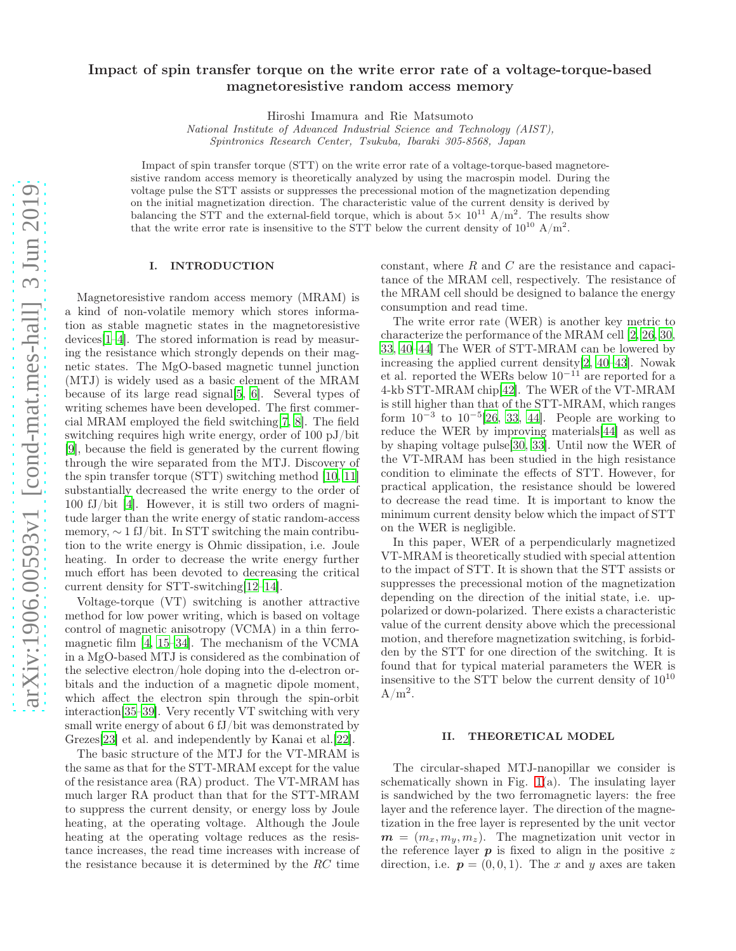# Impact of spin transfer torque on the write error rate of a voltage-torque-based magnetoresistive random access memory

Hiroshi Imamura and Rie Matsumoto

National Institute of Advanced Industrial Science and Technology (AIST), Spintronics Research Center, Tsukuba, Ibaraki 305-8568, Japan

Impact of spin transfer torque (STT) on the write error rate of a voltage-torque-based magnetoresistive random access memory is theoretically analyzed by using the macrospin model. During the voltage pulse the STT assists or suppresses the precessional motion of the magnetization depending on the initial magnetization direction. The characteristic value of the current density is derived by balancing the STT and the external-field torque, which is about  $5 \times 10^{11}$  A/m<sup>2</sup>. The results show that the write error rate is insensitive to the STT below the current density of  $10^{10}$  A/m<sup>2</sup>.

## I. INTRODUCTION

Magnetoresistive random access memory (MRAM) is a kind of non-volatile memory which stores information as stable magnetic states in the magnetoresistive devices[\[1](#page-5-0)[–4\]](#page-5-1). The stored information is read by measuring the resistance which strongly depends on their magnetic states. The MgO-based magnetic tunnel junction (MTJ) is widely used as a basic element of the MRAM because of its large read signal[\[5,](#page-5-2) [6](#page-5-3)]. Several types of writing schemes have been developed. The first commercial MRAM employed the field switching[\[7,](#page-5-4) [8\]](#page-5-5). The field switching requires high write energy, order of 100 pJ/bit [\[9\]](#page-5-6), because the field is generated by the current flowing through the wire separated from the MTJ. Discovery of the spin transfer torque (STT) switching method [\[10,](#page-5-7) [11](#page-5-8)] substantially decreased the write energy to the order of 100 fJ/bit [\[4\]](#page-5-1). However, it is still two orders of magnitude larger than the write energy of static random-access memory,  $\sim 1 \text{ fJ}/\text{bit}$ . In STT switching the main contribution to the write energy is Ohmic dissipation, i.e. Joule heating. In order to decrease the write energy further much effort has been devoted to decreasing the critical current density for STT-switching[\[12](#page-5-9)[–14\]](#page-5-10).

Voltage-torque (VT) switching is another attractive method for low power writing, which is based on voltage control of magnetic anisotropy (VCMA) in a thin ferromagnetic film [\[4,](#page-5-1) [15](#page-5-11)[–34](#page-6-0)]. The mechanism of the VCMA in a MgO-based MTJ is considered as the combination of the selective electron/hole doping into the d-electron orbitals and the induction of a magnetic dipole moment, which affect the electron spin through the spin-orbit interaction[\[35](#page-6-1)[–39\]](#page-6-2). Very recently VT switching with very small write energy of about 6 fJ/bit was demonstrated by Grezes[\[23\]](#page-6-3) et al. and independently by Kanai et al.[\[22](#page-6-4)].

The basic structure of the MTJ for the VT-MRAM is the same as that for the STT-MRAM except for the value of the resistance area (RA) product. The VT-MRAM has much larger RA product than that for the STT-MRAM to suppress the current density, or energy loss by Joule heating, at the operating voltage. Although the Joule heating at the operating voltage reduces as the resistance increases, the read time increases with increase of the resistance because it is determined by the RC time

constant, where R and C are the resistance and capacitance of the MRAM cell, respectively. The resistance of the MRAM cell should be designed to balance the energy consumption and read time.

The write error rate (WER) is another key metric to characterize the performance of the MRAM cell [\[2](#page-5-12), [26](#page-6-5), [30](#page-6-6), [33](#page-6-7), [40](#page-6-8)[–44](#page-7-0)] The WER of STT-MRAM can be lowered by increasing the applied current density[\[2,](#page-5-12) [40](#page-6-8)[–43\]](#page-6-9). Nowak et al. reported the WERs below  $10^{-11}$  are reported for a 4-kb STT-MRAM chip[\[42](#page-6-10)]. The WER of the VT-MRAM is still higher than that of the STT-MRAM, which ranges form  $10^{-3}$  to  $10^{-5}$ [\[26](#page-6-5), [33,](#page-6-7) [44\]](#page-7-0). People are working to reduce the WER by improving materials[\[44\]](#page-7-0) as well as by shaping voltage pulse[\[30,](#page-6-6) [33\]](#page-6-7). Until now the WER of the VT-MRAM has been studied in the high resistance condition to eliminate the effects of STT. However, for practical application, the resistance should be lowered to decrease the read time. It is important to know the minimum current density below which the impact of STT on the WER is negligible.

In this paper, WER of a perpendicularly magnetized VT-MRAM is theoretically studied with special attention to the impact of STT. It is shown that the STT assists or suppresses the precessional motion of the magnetization depending on the direction of the initial state, i.e. uppolarized or down-polarized. There exists a characteristic value of the current density above which the precessional motion, and therefore magnetization switching, is forbidden by the STT for one direction of the switching. It is found that for typical material parameters the WER is insensitive to the STT below the current density of  $10^{10}$  $A/m^2$ .

## II. THEORETICAL MODEL

The circular-shaped MTJ-nanopillar we consider is schematically shown in Fig.  $1(a)$ . The insulating layer is sandwiched by the two ferromagnetic layers: the free layer and the reference layer. The direction of the magnetization in the free layer is represented by the unit vector  $m = (m_x, m_y, m_z)$ . The magnetization unit vector in the reference layer  $p$  is fixed to align in the positive  $z$ direction, i.e.  $p = (0, 0, 1)$ . The x and y axes are taken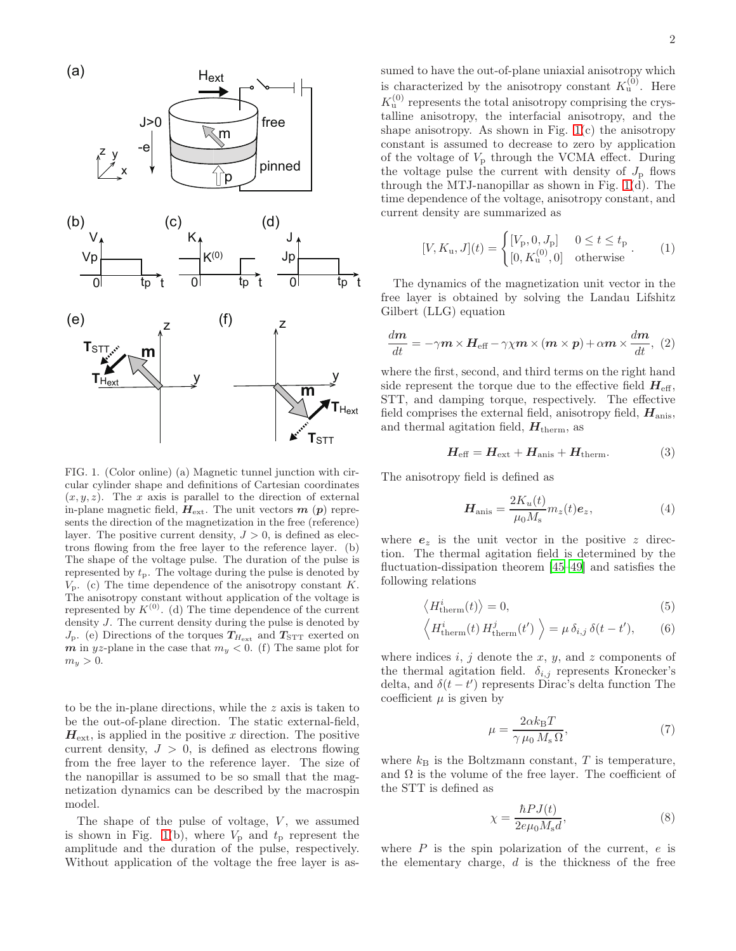

<span id="page-1-0"></span>FIG. 1. (Color online) (a) Magnetic tunnel junction with circular cylinder shape and definitions of Cartesian coordinates  $(x, y, z)$ . The x axis is parallel to the direction of external in-plane magnetic field,  $H_{\text{ext}}$ . The unit vectors  $m(p)$  represents the direction of the magnetization in the free (reference) layer. The positive current density,  $J > 0$ , is defined as electrons flowing from the free layer to the reference layer. (b) The shape of the voltage pulse. The duration of the pulse is represented by  $t_p$ . The voltage during the pulse is denoted by  $V_{\rm p}$ . (c) The time dependence of the anisotropy constant K. The anisotropy constant without application of the voltage is represented by  $K^{(0)}$ . (d) The time dependence of the current density J. The current density during the pulse is denoted by  $J_{\rm p}$ . (e) Directions of the torques  $T_{H_{\rm ext}}$  and  $T_{\rm STT}$  exerted on  $m$  in yz-plane in the case that  $m_y < 0$ . (f) The same plot for  $m_y > 0$ .

to be the in-plane directions, while the z axis is taken to be the out-of-plane direction. The static external-field,  $H_{\text{ext}}$ , is applied in the positive x direction. The positive current density,  $J > 0$ , is defined as electrons flowing from the free layer to the reference layer. The size of the nanopillar is assumed to be so small that the magnetization dynamics can be described by the macrospin model.

The shape of the pulse of voltage,  $V$ , we assumed is shown in Fig. [1\(](#page-1-0)b), where  $V_p$  and  $t_p$  represent the amplitude and the duration of the pulse, respectively. Without application of the voltage the free layer is assumed to have the out-of-plane uniaxial anisotropy which is characterized by the anisotropy constant  $K_u^{(0)}$ . Here  $K_u^{(0)}$  represents the total anisotropy comprising the crystalline anisotropy, the interfacial anisotropy, and the shape anisotropy. As shown in Fig.  $1(c)$  the anisotropy constant is assumed to decrease to zero by application of the voltage of  $V_p$  through the VCMA effect. During the voltage pulse the current with density of  $J_{\rm p}$  flows through the MTJ-nanopillar as shown in Fig. [1\(](#page-1-0)d). The time dependence of the voltage, anisotropy constant, and current density are summarized as

$$
[V, K_{\mathbf{u}}, J](t) = \begin{cases} [V_{\mathbf{p}}, 0, J_{\mathbf{p}}] & 0 \le t \le t_{\mathbf{p}} \\ [0, K_{\mathbf{u}}^{(0)}, 0] & \text{otherwise} \end{cases} (1)
$$

The dynamics of the magnetization unit vector in the free layer is obtained by solving the Landau Lifshitz Gilbert (LLG) equation

<span id="page-1-1"></span>
$$
\frac{dm}{dt} = -\gamma m \times H_{\text{eff}} - \gamma \chi m \times (m \times p) + \alpha m \times \frac{dm}{dt}, (2)
$$

where the first, second, and third terms on the right hand side represent the torque due to the effective field  $H_{\text{eff}}$ , STT, and damping torque, respectively. The effective field comprises the external field, anisotropy field,  $H_{\text{anis}}$ , and thermal agitation field,  $H_{\text{therm}}$ , as

$$
H_{\text{eff}} = H_{\text{ext}} + H_{\text{anis}} + H_{\text{therm}}.\tag{3}
$$

The anisotropy field is defined as

 $\langle$ 

$$
\boldsymbol{H}_{\text{anis}} = \frac{2K_u(t)}{\mu_0 M_s} m_z(t) \boldsymbol{e}_z,\tag{4}
$$

where  $e_z$  is the unit vector in the positive z direction. The thermal agitation field is determined by the fluctuation-dissipation theorem [\[45](#page-7-1)[–49\]](#page-7-2) and satisfies the following relations

$$
\langle H_{\text{therm}}^{i}(t) \rangle = 0,\tag{5}
$$

$$
\langle H_{\text{therm}}^i(t) H_{\text{therm}}^j(t') \rangle = \mu \, \delta_{i,j} \, \delta(t - t'), \qquad (6)
$$

where indices  $i, j$  denote the  $x, y$ , and  $z$  components of the thermal agitation field.  $\delta_{i,j}$  represents Kronecker's delta, and  $\delta(t-t')$  represents Dirac's delta function The coefficient  $\mu$  is given by

$$
\mu = \frac{2\alpha k_{\rm B}T}{\gamma \,\mu_0 \, M_{\rm s} \,\Omega},\tag{7}
$$

where  $k_B$  is the Boltzmann constant,  $T$  is temperature, and  $\Omega$  is the volume of the free layer. The coefficient of the STT is defined as

$$
\chi = \frac{\hbar P J(t)}{2e\mu_0 M_s d},\tag{8}
$$

where  $P$  is the spin polarization of the current,  $e$  is the elementary charge,  $d$  is the thickness of the free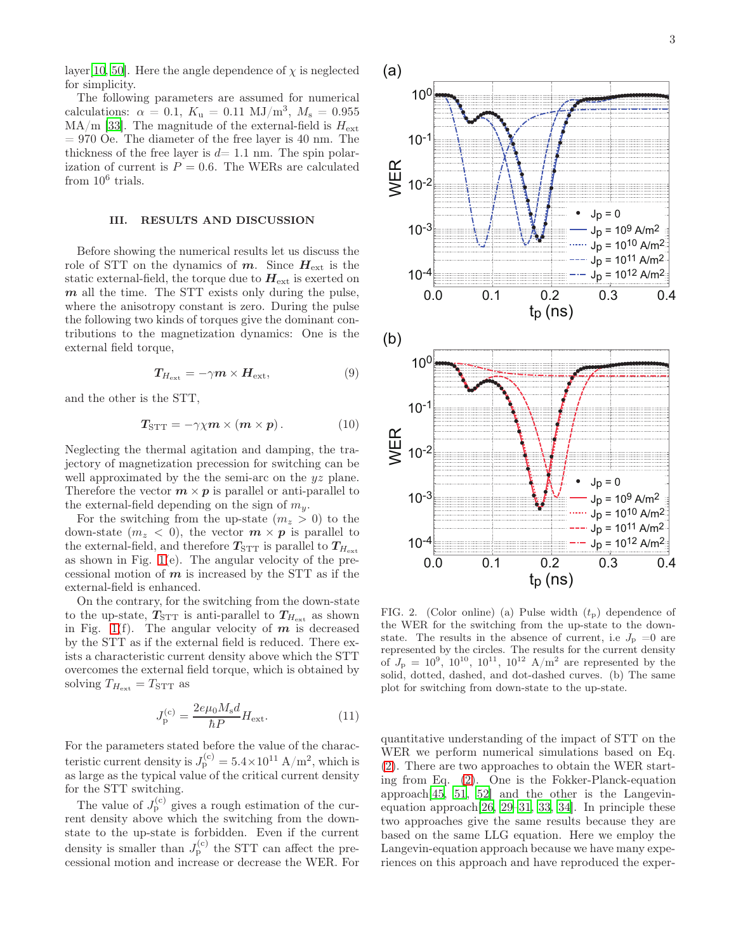layer[\[10,](#page-5-7) [50\]](#page-7-3). Here the angle dependence of  $\chi$  is neglected for simplicity.

The following parameters are assumed for numerical calculations:  $\alpha = 0.1, K_{\rm u} = 0.11 \text{ MJ/m}^3, M_{\rm s} = 0.955$  $MA/m$  [\[33](#page-6-7)]. The magnitude of the external-field is  $H_{\text{ext}}$  $= 970$  Oe. The diameter of the free layer is 40 nm. The thickness of the free layer is  $d= 1.1$  nm. The spin polarization of current is  $P = 0.6$ . The WERs are calculated from  $10^6$  trials.

#### III. RESULTS AND DISCUSSION

Before showing the numerical results let us discuss the role of STT on the dynamics of  $m$ . Since  $H_{\text{ext}}$  is the static external-field, the torque due to  $H_{\text{ext}}$  is exerted on  $m$  all the time. The STT exists only during the pulse, where the anisotropy constant is zero. During the pulse the following two kinds of torques give the dominant contributions to the magnetization dynamics: One is the external field torque,

$$
T_{H_{\text{ext}}} = -\gamma m \times H_{\text{ext}},\tag{9}
$$

and the other is the STT,

$$
T_{\text{STT}} = -\gamma \chi m \times (m \times p). \tag{10}
$$

Neglecting the thermal agitation and damping, the trajectory of magnetization precession for switching can be well approximated by the the semi-arc on the  $yz$  plane. Therefore the vector  $m \times p$  is parallel or anti-parallel to the external-field depending on the sign of  $m_y$ .

For the switching from the up-state  $(m_z > 0)$  to the down-state  $(m_z < 0)$ , the vector  $m \times p$  is parallel to the external-field, and therefore  $T_{\text{STT}}$  is parallel to  $T_{H_{\text{ext}}}$ as shown in Fig. [1\(](#page-1-0)e). The angular velocity of the precessional motion of  $m$  is increased by the STT as if the external-field is enhanced.

On the contrary, for the switching from the down-state to the up-state,  $T_{\text{STT}}$  is anti-parallel to  $T_{H_{\text{ext}}}$  as shown in Fig. [1\(](#page-1-0)f). The angular velocity of  $m$  is decreased by the STT as if the external field is reduced. There exists a characteristic current density above which the STT overcomes the external field torque, which is obtained by solving  $T_{H_{\text{ext}}} = T_{\text{STT}}$  as

$$
J_{\mathbf{p}}^{(\mathbf{c})} = \frac{2e\mu_0 M_{\mathbf{s}}d}{\hbar P} H_{\text{ext}}.\tag{11}
$$

For the parameters stated before the value of the characteristic current density is  $J_{\rm p}^{\rm (c)} = 5.4 \times 10^{11} \rm \,A/m^2,$  which is as large as the typical value of the critical current density for the STT switching.

The value of  $J_{\rm p}^{\rm (c)}$  gives a rough estimation of the current density above which the switching from the downstate to the up-state is forbidden. Even if the current density is smaller than  $J_{\rm p}^{\rm (c)}$  the STT can affect the precessional motion and increase or decrease the WER. For



<span id="page-2-0"></span>FIG. 2. (Color online) (a) Pulse width  $(t_p)$  dependence of the WER for the switching from the up-state to the downstate. The results in the absence of current, i.e  $J_{\rm p} = 0$  are represented by the circles. The results for the current density of  $J_{\rm p} = 10^9$ ,  $10^{10}$ ,  $10^{11}$ ,  $10^{12}$  A/m<sup>2</sup> are represented by the solid, dotted, dashed, and dot-dashed curves. (b) The same plot for switching from down-state to the up-state.

quantitative understanding of the impact of STT on the WER we perform numerical simulations based on Eq. [\(2\)](#page-1-1). There are two approaches to obtain the WER starting from Eq. [\(2\)](#page-1-1). One is the Fokker-Planck-equation approach[\[45,](#page-7-1) [51](#page-7-4), [52\]](#page-7-5) and the other is the Langevinequation approach[\[26,](#page-6-5) [29](#page-6-11)[–31,](#page-6-12) [33](#page-6-7), [34\]](#page-6-0). In principle these two approaches give the same results because they are based on the same LLG equation. Here we employ the Langevin-equation approach because we have many experiences on this approach and have reproduced the exper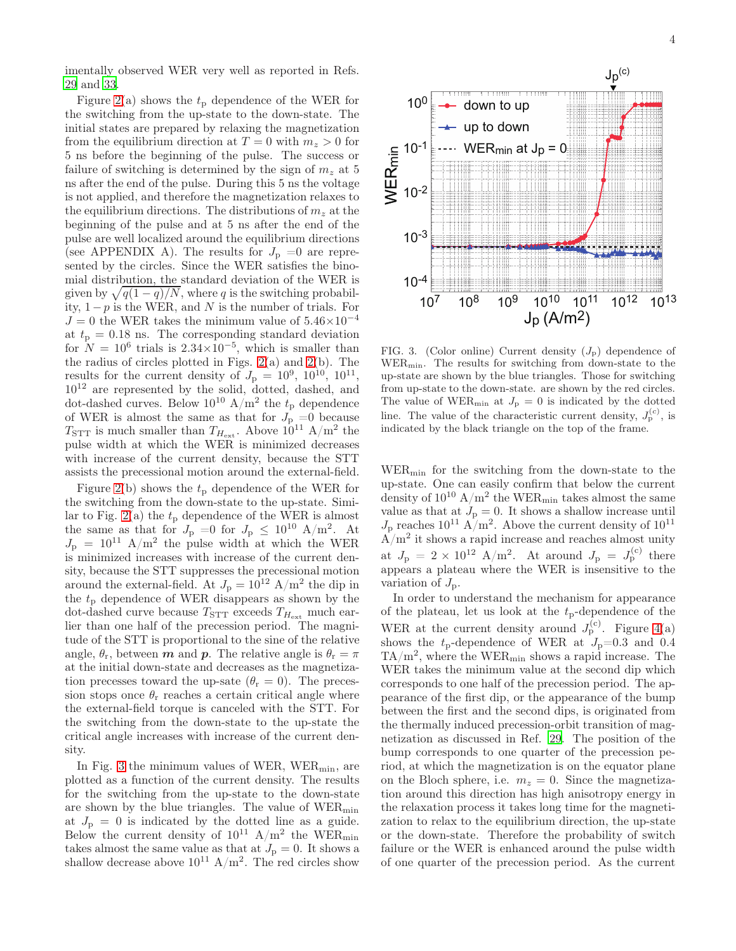imentally observed WER very well as reported in Refs. [29](#page-6-11) and [33.](#page-6-7)

Figure [2\(](#page-2-0)a) shows the  $t_p$  dependence of the WER for the switching from the up-state to the down-state. The initial states are prepared by relaxing the magnetization from the equilibrium direction at  $T = 0$  with  $m<sub>z</sub> > 0$  for 5 ns before the beginning of the pulse. The success or failure of switching is determined by the sign of  $m<sub>z</sub>$  at 5 ns after the end of the pulse. During this 5 ns the voltage is not applied, and therefore the magnetization relaxes to the equilibrium directions. The distributions of  $m<sub>z</sub>$  at the beginning of the pulse and at 5 ns after the end of the pulse are well localized around the equilibrium directions (see APPENDIX A). The results for  $J_{\rm p} = 0$  are represented by the circles. Since the WER satisfies the binomial distribution, the standard deviation of the WER is given by  $\sqrt{q(1 - q)/N}$ , where q is the switching probability, 1−p is the WER, and N is the number of trials. For  $J = 0$  the WER takes the minimum value of  $5.46 \times 10^{-4}$ at  $t_p = 0.18$  ns. The corresponding standard deviation for  $N = 10^6$  trials is  $2.34 \times 10^{-5}$ , which is smaller than the radius of circles plotted in Figs. [2\(](#page-2-0)a) and [2\(](#page-2-0)b). The results for the current density of  $J_{\rm p} = 10^9, 10^{10}, 10^{11}$ ,  $10^{12}$  are represented by the solid, dotted, dashed, and dot-dashed curves. Below  $10^{10}$  A/m<sup>2</sup> the  $t_p$  dependence of WER is almost the same as that for  $J_{\rm p} = 0$  because  $T_{\text{STT}}$  is much smaller than  $T_{H_{\text{ext}}}$ . Above  $10^{11}$  A/m<sup>2</sup> the pulse width at which the WER is minimized decreases with increase of the current density, because the STT assists the precessional motion around the external-field.

Figure [2\(](#page-2-0)b) shows the  $t_p$  dependence of the WER for the switching from the down-state to the up-state. Simi-lar to Fig. [2\(](#page-2-0)a) the  $t_p$  dependence of the WER is almost the same as that for  $J_{\rm p} = 0$  for  $J_{\rm p} \leq 10^{10}$  A/m<sup>2</sup>. At  $J_{\rm p}$  = 10<sup>11</sup> A/m<sup>2</sup> the pulse width at which the WER is minimized increases with increase of the current density, because the STT suppresses the precessional motion around the external-field. At  $J_{\rm p} = 10^{12}$  A/m<sup>2</sup> the dip in the  $t_p$  dependence of WER disappears as shown by the dot-dashed curve because  $T_{\text{STT}}$  exceeds  $T_{H_{\text{ext}}}$  much earlier than one half of the precession period. The magnitude of the STT is proportional to the sine of the relative angle,  $\theta_r$ , between **m** and **p**. The relative angle is  $\theta_r = \pi$ at the initial down-state and decreases as the magnetization precesses toward the up-sate  $(\theta_r = 0)$ . The precession stops once  $\theta_r$  reaches a certain critical angle where the external-field torque is canceled with the STT. For the switching from the down-state to the up-state the critical angle increases with increase of the current density.

In Fig. [3](#page-3-0) the minimum values of WER,  $WER_{min}$ , are plotted as a function of the current density. The results for the switching from the up-state to the down-state are shown by the blue triangles. The value of  $WER_{min}$ at  $J_p = 0$  is indicated by the dotted line as a guide. Below the current density of  $10^{11}$  A/m<sup>2</sup> the WER<sub>min</sub> takes almost the same value as that at  $J_{\rm p} = 0$ . It shows a shallow decrease above  $10^{11}$  A/m<sup>2</sup>. The red circles show



<span id="page-3-0"></span>FIG. 3. (Color online) Current density  $(J_p)$  dependence of WERmin. The results for switching from down-state to the up-state are shown by the blue triangles. Those for switching from up-state to the down-state. are shown by the red circles. The value of WER<sub>min</sub> at  $J_{\rm p}=0$  is indicated by the dotted line. The value of the characteristic current density,  $J_{\rm p}^{(c)}$ , is indicated by the black triangle on the top of the frame.

WERmin for the switching from the down-state to the up-state. One can easily confirm that below the current density of  $10^{10}$  A/m<sup>2</sup> the WER<sub>min</sub> takes almost the same value as that at  $J_p = 0$ . It shows a shallow increase until  $J_{\rm p}$  reaches  $10^{11}$  A/m<sup>2</sup>. Above the current density of  $10^{11}$  $\overline{A}/m^2$  it shows a rapid increase and reaches almost unity at  $J_{\rm p} = 2 \times 10^{12}$  A/m<sup>2</sup>. At around  $J_{\rm p} = J_{\rm p}^{\rm (c)}$  there appears a plateau where the WER is insensitive to the variation of  $J_{\rm p}$ .

In order to understand the mechanism for appearance of the plateau, let us look at the  $t_p$ -dependence of the WER at the current density around  $J_{p}^{(c)}$ . Figure [4\(](#page-4-0)a) shows the  $t_p$ -dependence of WER at  $J_p=0.3$  and 0.4  $TA/m<sup>2</sup>$ , where the  $WER_{min}$  shows a rapid increase. The WER takes the minimum value at the second dip which corresponds to one half of the precession period. The appearance of the first dip, or the appearance of the bump between the first and the second dips, is originated from the thermally induced precession-orbit transition of magnetization as discussed in Ref. [29](#page-6-11). The position of the bump corresponds to one quarter of the precession period, at which the magnetization is on the equator plane on the Bloch sphere, i.e.  $m_z = 0$ . Since the magnetization around this direction has high anisotropy energy in the relaxation process it takes long time for the magnetization to relax to the equilibrium direction, the up-state or the down-state. Therefore the probability of switch failure or the WER is enhanced around the pulse width of one quarter of the precession period. As the current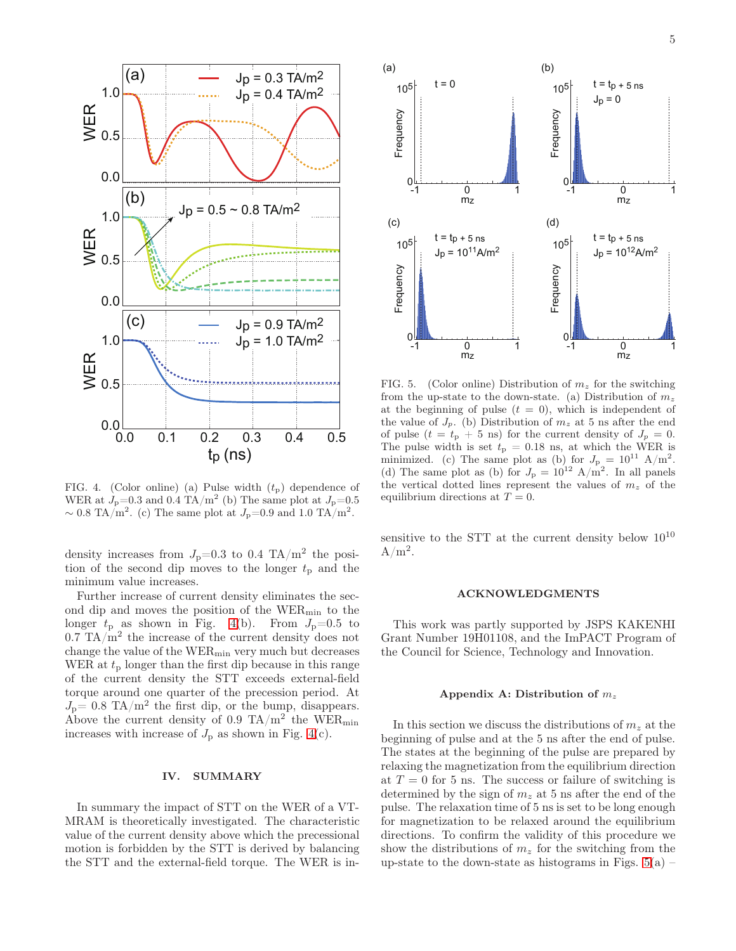

<span id="page-4-0"></span>FIG. 4. (Color online) (a) Pulse width  $(t<sub>p</sub>)$  dependence of WER at  $J_{\rm p}=0.3$  and 0.4 TA/m<sup>2</sup> (b) The same plot at  $J_{\rm p}=0.5$  $\sim 0.8$  TA/m<sup>2</sup>. (c) The same plot at  $J_{\rm p}=0.9$  and 1.0 TA/m<sup>2</sup>.

density increases from  $J_{\rm p}$ =0.3 to 0.4 TA/m<sup>2</sup> the position of the second dip moves to the longer  $t_p$  and the minimum value increases.

Further increase of current density eliminates the second dip and moves the position of the WERmin to the longer  $t_p$  as shown in Fig. [4\(](#page-4-0)b). From  $J_p=0.5$  to  $0.7$  TA/m<sup>2</sup> the increase of the current density does not change the value of the  $WER_{min}$  very much but decreases WER at  $t_p$  longer than the first dip because in this range of the current density the STT exceeds external-field torque around one quarter of the precession period. At  $J_{\rm p}=0.8$  TA/m<sup>2</sup> the first dip, or the bump, disappears. Above the current density of 0.9 TA/m<sup>2</sup> the WER<sub>min</sub> increases with increase of  $J_p$  as shown in Fig. [4\(](#page-4-0)c).

### IV. SUMMARY

In summary the impact of STT on the WER of a VT-MRAM is theoretically investigated. The characteristic value of the current density above which the precessional motion is forbidden by the STT is derived by balancing the STT and the external-field torque. The WER is in-



<span id="page-4-1"></span>FIG. 5. (Color online) Distribution of  $m<sub>z</sub>$  for the switching from the up-state to the down-state. (a) Distribution of  $m_z$ at the beginning of pulse  $(t = 0)$ , which is independent of the value of  $J_p$ . (b) Distribution of  $m_z$  at 5 ns after the end of pulse  $(t = t_{p} + 5 \text{ ns})$  for the current density of  $J_{p} = 0$ . The pulse width is set  $t_p = 0.18$  ns, at which the WER is minimized. (c) The same plot as (b) for  $J_{\rm p} = 10^{11}$  A/m<sup>2</sup>. (d) The same plot as (b) for  $J_{\rm p} = 10^{12}$  A/m<sup>2</sup>. In all panels the vertical dotted lines represent the values of  $m<sub>z</sub>$  of the equilibrium directions at  $T = 0$ .

sensitive to the STT at the current density below  $10^{10}$  $A/m^2$ .

## ACKNOWLEDGMENTS

This work was partly supported by JSPS KAKENHI Grant Number 19H01108, and the ImPACT Program of the Council for Science, Technology and Innovation.

#### Appendix A: Distribution of  $m_z$

In this section we discuss the distributions of  $m<sub>z</sub>$  at the beginning of pulse and at the 5 ns after the end of pulse. The states at the beginning of the pulse are prepared by relaxing the magnetization from the equilibrium direction at  $T = 0$  for 5 ns. The success or failure of switching is determined by the sign of  $m_z$  at 5 ns after the end of the pulse. The relaxation time of 5 ns is set to be long enough for magnetization to be relaxed around the equilibrium directions. To confirm the validity of this procedure we show the distributions of  $m<sub>z</sub>$  for the switching from the up-state to the down-state as histograms in Figs.  $5(a)$  –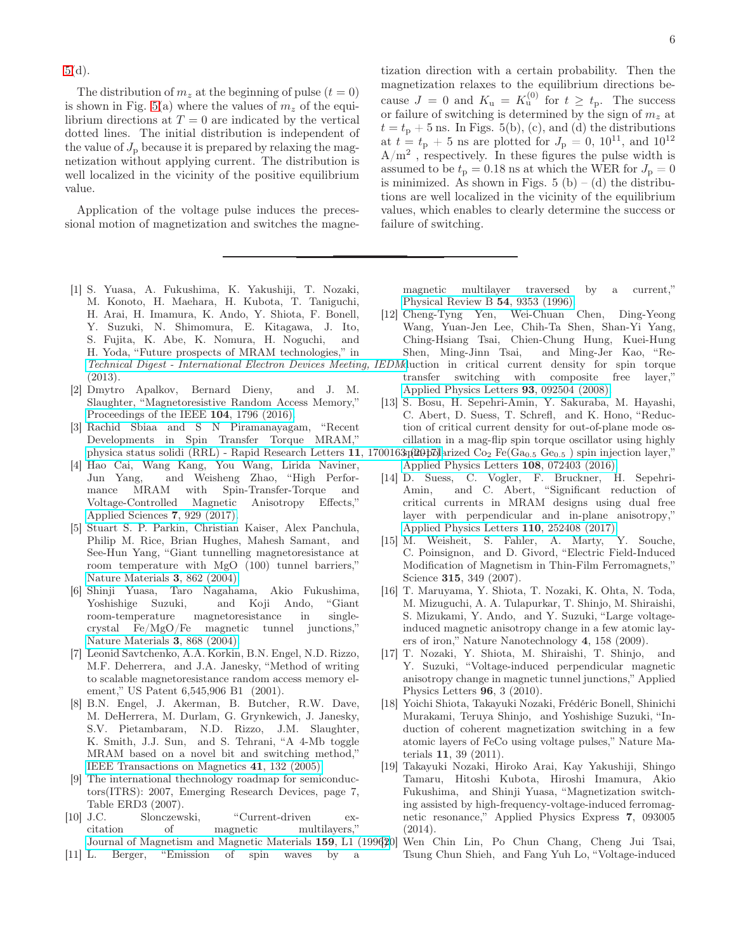[5\(](#page-4-1)d).

The distribution of  $m_z$  at the beginning of pulse  $(t = 0)$ is shown in Fig. [5\(](#page-4-1)a) where the values of  $m<sub>z</sub>$  of the equilibrium directions at  $T = 0$  are indicated by the vertical dotted lines. The initial distribution is independent of the value of  $J_{\rm p}$  because it is prepared by relaxing the magnetization without applying current. The distribution is well localized in the vicinity of the positive equilibrium value.

Application of the voltage pulse induces the precessional motion of magnetization and switches the magne-

<span id="page-5-0"></span>[1] S. Yuasa, A. Fukushima, K. Yakushiji, T. Nozaki, M. Konoto, H. Maehara, H. Kubota, T. Taniguchi, H. Arai, H. Imamura, K. Ando, Y. Shiota, F. Bonell, Y. Suzuki, N. Shimomura, E. Kitagawa, J. Ito, S. Fujita, K. Abe, K. Nomura, H. Noguchi, and H. Yoda, "Future prospects of MRAM technologies," in Technical Digest - International Electron Devices Meeting, (2013).

- <span id="page-5-12"></span>[2] Dmytro Apalkov, Bernard Dieny, and J. M. Slaughter, "Magnetoresistive Random Access Memory," [Proceedings of the IEEE](http://dx.doi.org/ 10.1109/JPROC.2016.2590142) 104, 1796 (2016).
- [3] Rachid Sbiaa and S N Piramanayagam, "Recent Developments in Spin Transfer Torque MRAM," [physica status solidi \(RRL\) - Rapid Research Letters](http://dx.doi.org/ 10.1002/pssr.201700163) 11, 17001
- <span id="page-5-1"></span>[4] Hao Cai, Wang Kang, You Wang, Lirida Naviner, Jun Yang, and Weisheng Zhao, "High Performance MRAM with Spin-Transfer-Torque and Voltage-Controlled Magnetic Anisotropy Effects," [Applied Sciences](http://dx.doi.org/ 10.3390/app7090929) 7, 929 (2017).
- <span id="page-5-2"></span>[5] Stuart S. P. Parkin, Christian Kaiser, Alex Panchula, Philip M. Rice, Brian Hughes, Mahesh Samant, and See-Hun Yang, "Giant tunnelling magnetoresistance at room temperature with MgO (100) tunnel barriers," [Nature Materials](http://dx.doi.org/ 10.1038/nmat1256) 3, 862 (2004).
- <span id="page-5-3"></span>[6] Shinji Yuasa, Taro Nagahama, Akio Fukushima, Yoshishige Suzuki, and Koji Ando, "Giant room-temperature magnetoresistance in singlecrystal Fe/MgO/Fe magnetic tunnel junctions," [Nature Materials](http://dx.doi.org/ 10.1038/nmat1257) 3, 868 (2004).
- <span id="page-5-4"></span>[7] Leonid Savtchenko, A.A. Korkin, B.N. Engel, N.D. Rizzo, M.F. Deherrera, and J.A. Janesky, "Method of writing to scalable magnetoresistance random access memory element," US Patent 6,545,906 B1 (2001).
- <span id="page-5-5"></span>[8] B.N. Engel, J. Akerman, B. Butcher, R.W. Dave, M. DeHerrera, M. Durlam, G. Grynkewich, J. Janesky, S.V. Pietambaram, N.D. Rizzo, J.M. Slaughter, K. Smith, J.J. Sun, and S. Tehrani, "A 4-Mb toggle MRAM based on a novel bit and switching method," [IEEE Transactions on Magnetics](http://dx.doi.org/10.1109/TMAG.2004.840847) 41, 132 (2005).
- <span id="page-5-6"></span>[9] The international thechnology roadmap for semiconductors(ITRS): 2007, Emerging Research Devices, page 7, Table ERD3 (2007).
- <span id="page-5-7"></span>[10] J.C. Slonczewski, "Current-driven excitation of magnetic multilayers," [Journal of Magnetism and Magnetic Materials](http://dx.doi.org/ 10.1016/0304-8853(96)00062-5) 159, L1 (1996).
- <span id="page-5-8"></span>[11] L. Berger, "Emission of spin waves by a

tization direction with a certain probability. Then the magnetization relaxes to the equilibrium directions because  $J = 0$  and  $K_u = K_u^{(0)}$  for  $t \ge t_p$ . The success or failure of switching is determined by the sign of  $m<sub>z</sub>$  at  $t = t_p + 5$  ns. In Figs. 5(b), (c), and (d) the distributions at  $t = t_{\rm p} + 5$  ns are plotted for  $J_{\rm p} = 0$ ,  $10^{11}$ , and  $10^{12}$  $A/m^2$ , respectively. In these figures the pulse width is assumed to be  $t_p = 0.18$  ns at which the WER for  $J_p = 0$ is minimized. As shown in Figs. 5 (b) – (d) the distributions are well localized in the vicinity of the equilibrium values, which enables to clearly determine the success or failure of switching.

magnetic multilayer traversed by a current," [Physical Review B](http://dx.doi.org/10.1103/PhysRevB.54.9353) 54, 9353 (1996).

- <span id="page-5-9"></span>[12] Cheng-Tyng Yen, Wei-Chuan Chen, Ding-Yeong Wang, Yuan-Jen Lee, Chih-Ta Shen, Shan-Yi Yang, Ching-Hsiang Tsai, Chien-Chung Hung, Kuei-Hung Shen, Ming-Jinn Tsai, and Ming-Jer Kao, "Re-
- IEDM duction in critical current density for spin torque transfer switching with composite free layer," [Applied Physics Letters](http://dx.doi.org/ 10.1063/1.2978097) 93, 092504 (2008).
- [13] S. Bosu, H. Sepehri-Amin, Y. Sakuraba, M. Hayashi, C. Abert, D. Suess, T. Schrefl, and K. Hono, "Reduction of critical current density for out-of-plane mode oscillation in a mag-flip spin torque oscillator using highly
- $3\frac{\alpha_0}{2\pi}$  is  $\frac{\alpha_0}{2\pi}$  and  $\frac{\alpha_0}{2\pi}$  Fe(Ga<sub>0.5</sub> Ge<sub>0.5</sub>) spin injection layer, [Applied Physics Letters](http://dx.doi.org/ 10.1063/1.4942373) 108, 072403 (2016).
- <span id="page-5-10"></span>[14] D. Suess, C. Vogler, F. Bruckner, H. Sepehri-Amin, and C. Abert, "Significant reduction of critical currents in MRAM designs using dual free layer with perpendicular and in-plane anisotropy," [Applied Physics Letters](http://dx.doi.org/10.1063/1.4987140) 110, 252408 (2017).
- <span id="page-5-11"></span>[15] M. Weisheit, S. Fahler, A. Marty, Y. Souche, C. Poinsignon, and D. Givord, "Electric Field-Induced Modification of Magnetism in Thin-Film Ferromagnets," Science 315, 349 (2007).
- [16] T. Maruyama, Y. Shiota, T. Nozaki, K. Ohta, N. Toda, M. Mizuguchi, A. A. Tulapurkar, T. Shinjo, M. Shiraishi, S. Mizukami, Y. Ando, and Y. Suzuki, "Large voltageinduced magnetic anisotropy change in a few atomic layers of iron," Nature Nanotechnology 4, 158 (2009).
- [17] T. Nozaki, Y. Shiota, M. Shiraishi, T. Shinjo, and Y. Suzuki, "Voltage-induced perpendicular magnetic anisotropy change in magnetic tunnel junctions," Applied Physics Letters 96, 3 (2010).
- [18] Yoichi Shiota, Takayuki Nozaki, Frédéric Bonell, Shinichi Murakami, Teruya Shinjo, and Yoshishige Suzuki, "Induction of coherent magnetization switching in a few atomic layers of FeCo using voltage pulses," Nature Materials 11, 39 (2011).
- [19] Takayuki Nozaki, Hiroko Arai, Kay Yakushiji, Shingo Tamaru, Hitoshi Kubota, Hiroshi Imamura, Akio Fukushima, and Shinji Yuasa, "Magnetization switching assisted by high-frequency-voltage-induced ferromagnetic resonance," Applied Physics Express 7, 093005 (2014).
	- [20] Wen Chin Lin, Po Chun Chang, Cheng Jui Tsai, Tsung Chun Shieh, and Fang Yuh Lo, "Voltage-induced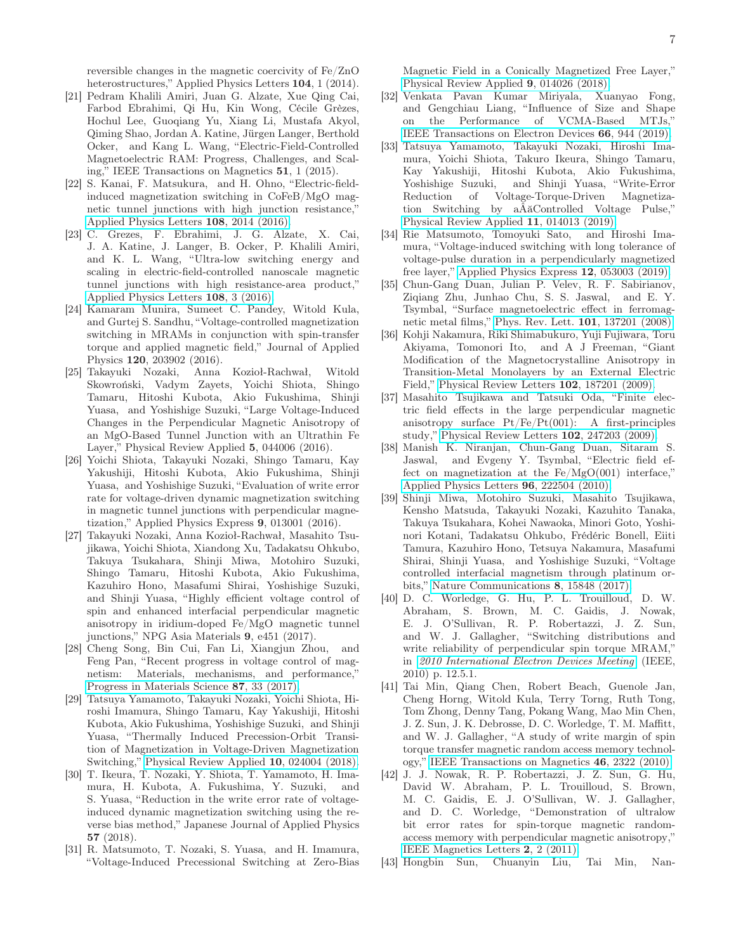reversible changes in the magnetic coercivity of Fe/ZnO heterostructures," Applied Physics Letters 104, 1 (2014).

- [21] Pedram Khalili Amiri, Juan G. Alzate, Xue Qing Cai, Farbod Ebrahimi, Qi Hu, Kin Wong, Cécile Grèzes, Hochul Lee, Guoqiang Yu, Xiang Li, Mustafa Akyol, Qiming Shao, Jordan A. Katine, Jürgen Langer, Berthold Ocker, and Kang L. Wang, "Electric-Field-Controlled Magnetoelectric RAM: Progress, Challenges, and Scaling," IEEE Transactions on Magnetics 51, 1 (2015).
- <span id="page-6-4"></span>[22] S. Kanai, F. Matsukura, and H. Ohno, "Electric-fieldinduced magnetization switching in CoFeB/MgO magnetic tunnel junctions with high junction resistance, [Applied Physics Letters](http://dx.doi.org/10.1063/1.4948763) 108, 2014 (2016).
- <span id="page-6-3"></span>[23] C. Grezes, F. Ebrahimi, J. G. Alzate, X. Cai, J. A. Katine, J. Langer, B. Ocker, P. Khalili Amiri, and K. L. Wang, "Ultra-low switching energy and scaling in electric-field-controlled nanoscale magnetic tunnel junctions with high resistance-area product," [Applied Physics Letters](http://dx.doi.org/10.1063/1.4939446) 108, 3 (2016).
- [24] Kamaram Munira, Sumeet C. Pandey, Witold Kula, and Gurtej S. Sandhu, "Voltage-controlled magnetization switching in MRAMs in conjunction with spin-transfer torque and applied magnetic field," Journal of Applied Physics 120, 203902 (2016).
- [25] Takayuki Nozaki, Anna Kozioł-Rachwał, Witold Skowroński, Vadym Zayets, Yoichi Shiota, Shingo Tamaru, Hitoshi Kubota, Akio Fukushima, Shinji Yuasa, and Yoshishige Suzuki, "Large Voltage-Induced Changes in the Perpendicular Magnetic Anisotropy of an MgO-Based Tunnel Junction with an Ultrathin Fe Layer," Physical Review Applied 5, 044006 (2016).
- <span id="page-6-5"></span>[26] Yoichi Shiota, Takayuki Nozaki, Shingo Tamaru, Kay Yakushiji, Hitoshi Kubota, Akio Fukushima, Shinji Yuasa, and Yoshishige Suzuki, "Evaluation of write error rate for voltage-driven dynamic magnetization switching in magnetic tunnel junctions with perpendicular magnetization," Applied Physics Express 9, 013001 (2016).
- [27] Takayuki Nozaki, Anna Kozioł-Rachwał, Masahito Tsujikawa, Yoichi Shiota, Xiandong Xu, Tadakatsu Ohkubo, Takuya Tsukahara, Shinji Miwa, Motohiro Suzuki, Shingo Tamaru, Hitoshi Kubota, Akio Fukushima, Kazuhiro Hono, Masafumi Shirai, Yoshishige Suzuki, and Shinji Yuasa, "Highly efficient voltage control of spin and enhanced interfacial perpendicular magnetic anisotropy in iridium-doped Fe/MgO magnetic tunnel junctions," NPG Asia Materials 9, e451 (2017).
- [28] Cheng Song, Bin Cui, Fan Li, Xiangjun Zhou, and Feng Pan, "Recent progress in voltage control of magnetism: Materials, mechanisms, and performance," [Progress in Materials Science](http://dx.doi.org/ 10.1016/j.pmatsci.2017.02.002) 87, 33 (2017).
- <span id="page-6-11"></span>[29] Tatsuya Yamamoto, Takayuki Nozaki, Yoichi Shiota, Hiroshi Imamura, Shingo Tamaru, Kay Yakushiji, Hitoshi Kubota, Akio Fukushima, Yoshishige Suzuki, and Shinji Yuasa, "Thermally Induced Precession-Orbit Transition of Magnetization in Voltage-Driven Magnetization Switching," [Physical Review Applied](http://dx.doi.org/10.1103/PhysRevApplied.10.024004) 10, 024004 (2018).
- <span id="page-6-6"></span>[30] T. Ikeura, T. Nozaki, Y. Shiota, T. Yamamoto, H. Imamura, H. Kubota, A. Fukushima, Y. Suzuki, and S. Yuasa, "Reduction in the write error rate of voltageinduced dynamic magnetization switching using the reverse bias method," Japanese Journal of Applied Physics 57 (2018).
- <span id="page-6-12"></span>[31] R. Matsumoto, T. Nozaki, S. Yuasa, and H. Imamura, "Voltage-Induced Precessional Switching at Zero-Bias

Magnetic Field in a Conically Magnetized Free Layer," [Physical Review Applied](http://dx.doi.org/10.1103/PhysRevApplied.9.014026) 9, 014026 (2018).

- [32] Venkata Pavan Kumar Miriyala, Xuanyao Fong, and Gengchiau Liang, "Influence of Size and Shape on the Performance of VCMA-Based MTJs," [IEEE Transactions on Electron Devices](http://dx.doi.org/10.1109/TED.2018.2889112) 66, 944 (2019).
- <span id="page-6-7"></span>[33] Tatsuya Yamamoto, Takayuki Nozaki, Hiroshi Imamura, Yoichi Shiota, Takuro Ikeura, Shingo Tamaru, Kay Yakushiji, Hitoshi Kubota, Akio Fukushima, Yoshishige Suzuki, and Shinji Yuasa, "Write-Error Reduction of Voltage-Torque-Driven Magnetization Switching by aÂăControlled Voltage Pulse," [Physical Review Applied](http://dx.doi.org/ 10.1103/PhysRevApplied.11.014013) 11, 014013 (2019).
- <span id="page-6-0"></span>[34] Rie Matsumoto, Tomoyuki Sato, and Hiroshi Imamura, "Voltage-induced switching with long tolerance of voltage-pulse duration in a perpendicularly magnetized free layer," [Applied Physics Express](http://dx.doi.org/ 10.7567/1882-0786/ab1349) 12, 053003 (2019).
- <span id="page-6-1"></span>[35] Chun-Gang Duan, Julian P. Velev, R. F. Sabirianov, Ziqiang Zhu, Junhao Chu, S. S. Jaswal, and E. Y. Tsymbal, "Surface magnetoelectric effect in ferromagnetic metal films," [Phys. Rev. Lett.](http://dx.doi.org/ 10.1103/PhysRevLett.101.137201) 101, 137201 (2008).
- [36] Kohji Nakamura, Riki Shimabukuro, Yuji Fujiwara, Toru Akiyama, Tomonori Ito, and A J Freeman, "Giant Modification of the Magnetocrystalline Anisotropy in Transition-Metal Monolayers by an External Electric Field," [Physical Review Letters](http://dx.doi.org/10.1103/PhysRevLett.102.187201) 102, 187201 (2009).
- [37] Masahito Tsujikawa and Tatsuki Oda, "Finite electric field effects in the large perpendicular magnetic anisotropy surface Pt/Fe/Pt(001): A first-principles study," [Physical Review Letters](http://dx.doi.org/10.1103/PhysRevLett.102.247203) 102, 247203 (2009).
- [38] Manish K. Niranjan, Chun-Gang Duan, Sitaram S. Jaswal, and Evgeny Y. Tsymbal, "Electric field effect on magnetization at the  $Fe/MgO(001)$  interface," [Applied Physics Letters](http://dx.doi.org/10.1063/1.3443658) 96, 222504 (2010).
- <span id="page-6-2"></span>[39] Shinji Miwa, Motohiro Suzuki, Masahito Tsujikawa, Kensho Matsuda, Takayuki Nozaki, Kazuhito Tanaka, Takuya Tsukahara, Kohei Nawaoka, Minori Goto, Yoshinori Kotani, Tadakatsu Ohkubo, Frédéric Bonell, Eiiti Tamura, Kazuhiro Hono, Tetsuya Nakamura, Masafumi Shirai, Shinji Yuasa, and Yoshishige Suzuki, "Voltage controlled interfacial magnetism through platinum orbits," [Nature Communications](http://dx.doi.org/10.1038/ncomms15848) 8, 15848 (2017).
- <span id="page-6-8"></span>[40] D. C. Worledge, G. Hu, P. L. Trouilloud, D. W. Abraham, S. Brown, M. C. Gaidis, J. Nowak, E. J. O'Sullivan, R. P. Robertazzi, J. Z. Sun, and W. J. Gallagher, "Switching distributions and write reliability of perpendicular spin torque MRAM," in [2010 International Electron Devices Meeting](http://dx.doi.org/10.1109/IEDM.2010.5703349) (IEEE, 2010) p. 12.5.1.
- [41] Tai Min, Qiang Chen, Robert Beach, Guenole Jan, Cheng Horng, Witold Kula, Terry Torng, Ruth Tong, Tom Zhong, Denny Tang, Pokang Wang, Mao Min Chen, J. Z. Sun, J. K. Debrosse, D. C. Worledge, T. M. Maffitt, and W. J. Gallagher, "A study of write margin of spin torque transfer magnetic random access memory technology," [IEEE Transactions on Magnetics](http://dx.doi.org/ 10.1109/TMAG.2010.2043069) 46, 2322 (2010).
- <span id="page-6-10"></span>[42] J. J. Nowak, R. P. Robertazzi, J. Z. Sun, G. Hu, David W. Abraham, P. L. Trouilloud, S. Brown, M. C. Gaidis, E. J. O'Sullivan, W. J. Gallagher, and D. C. Worledge, "Demonstration of ultralow bit error rates for spin-torque magnetic randomaccess memory with perpendicular magnetic anisotropy," [IEEE Magnetics Letters](http://dx.doi.org/10.1109/LMAG.2011.2155625) 2, 2 (2011).
- <span id="page-6-9"></span>[43] Hongbin Sun, Chuanyin Liu, Tai Min, Nan-